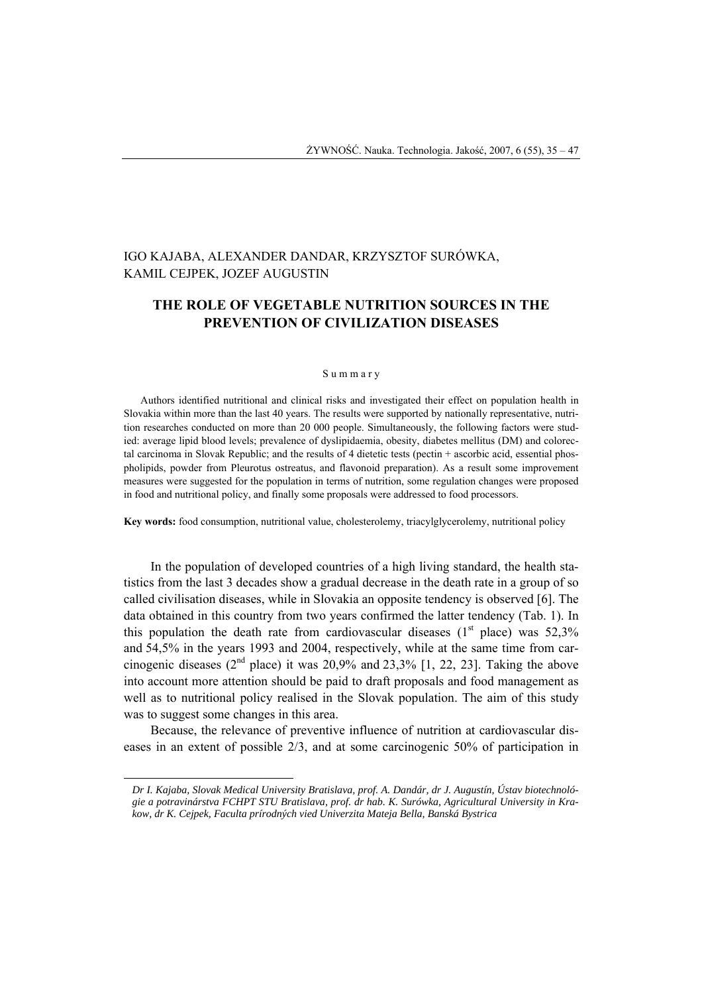# IGO KAJABA, ALEXANDER DANDAR, KRZYSZTOF SURÓWKA, KAMIL CEJPEK, JOZEF AUGUSTIN

## **THE ROLE OF VEGETABLE NUTRITION SOURCES IN THE PREVENTION OF CIVILIZATION DISEASES**

#### S u m m a r y

Authors identified nutritional and clinical risks and investigated their effect on population health in Slovakia within more than the last 40 years. The results were supported by nationally representative, nutrition researches conducted on more than 20 000 people. Simultaneously, the following factors were studied: average lipid blood levels; prevalence of dyslipidaemia, obesity, diabetes mellitus (DM) and colorectal carcinoma in Slovak Republic; and the results of 4 dietetic tests (pectin + ascorbic acid, essential phospholipids, powder from Pleurotus ostreatus, and flavonoid preparation). As a result some improvement measures were suggested for the population in terms of nutrition, some regulation changes were proposed in food and nutritional policy, and finally some proposals were addressed to food processors.

**Key words:** food consumption, nutritional value, cholesterolemy, triacylglycerolemy, nutritional policy

In the population of developed countries of a high living standard, the health statistics from the last 3 decades show a gradual decrease in the death rate in a group of so called civilisation diseases, while in Slovakia an opposite tendency is observed [6]. The data obtained in this country from two years confirmed the latter tendency (Tab. 1). In this population the death rate from cardiovascular diseases  $(1<sup>st</sup>$  place) was 52,3% and 54,5% in the years 1993 and 2004, respectively, while at the same time from carcinogenic diseases ( $2<sup>nd</sup>$  place) it was 20,9% and 23,3% [1, 22, 23]. Taking the above into account more attention should be paid to draft proposals and food management as well as to nutritional policy realised in the Slovak population. The aim of this study was to suggest some changes in this area.

Because, the relevance of preventive influence of nutrition at cardiovascular diseases in an extent of possible 2/3, and at some carcinogenic 50% of participation in

l

*Dr I. Kajaba, Slovak Medical University Bratislava, prof. A. Dandár, dr J. Augustín, Ústav biotechnológie a potravinárstva FCHPT STU Bratislava, prof. dr hab. K. Surówka, Agricultural University in Krakow, dr K. Cejpek, Faculta prírodných vied Univerzita Mateja Bella, Banská Bystrica*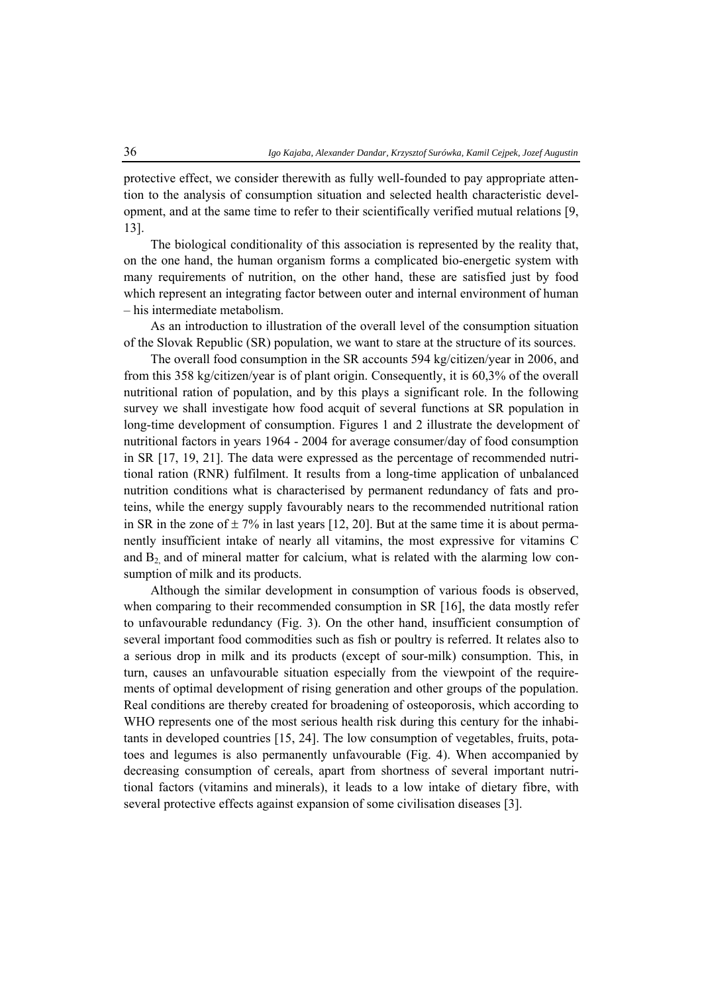protective effect, we consider therewith as fully well-founded to pay appropriate attention to the analysis of consumption situation and selected health characteristic development, and at the same time to refer to their scientifically verified mutual relations [9, 13].

The biological conditionality of this association is represented by the reality that, on the one hand, the human organism forms a complicated bio-energetic system with many requirements of nutrition, on the other hand, these are satisfied just by food which represent an integrating factor between outer and internal environment of human – his intermediate metabolism.

As an introduction to illustration of the overall level of the consumption situation of the Slovak Republic (SR) population, we want to stare at the structure of its sources.

The overall food consumption in the SR accounts 594 kg/citizen/year in 2006, and from this 358 kg/citizen/year is of plant origin. Consequently, it is 60,3% of the overall nutritional ration of population, and by this plays a significant role. In the following survey we shall investigate how food acquit of several functions at SR population in long-time development of consumption. Figures 1 and 2 illustrate the development of nutritional factors in years 1964 - 2004 for average consumer/day of food consumption in SR [17, 19, 21]. The data were expressed as the percentage of recommended nutritional ration (RNR) fulfilment. It results from a long-time application of unbalanced nutrition conditions what is characterised by permanent redundancy of fats and proteins, while the energy supply favourably nears to the recommended nutritional ration in SR in the zone of  $\pm$  7% in last years [12, 20]. But at the same time it is about permanently insufficient intake of nearly all vitamins, the most expressive for vitamins C and  $B_2$  and of mineral matter for calcium, what is related with the alarming low consumption of milk and its products.

Although the similar development in consumption of various foods is observed, when comparing to their recommended consumption in SR [16], the data mostly refer to unfavourable redundancy (Fig. 3). On the other hand, insufficient consumption of several important food commodities such as fish or poultry is referred. It relates also to a serious drop in milk and its products (except of sour-milk) consumption. This, in turn, causes an unfavourable situation especially from the viewpoint of the requirements of optimal development of rising generation and other groups of the population. Real conditions are thereby created for broadening of osteoporosis, which according to WHO represents one of the most serious health risk during this century for the inhabitants in developed countries [15, 24]. The low consumption of vegetables, fruits, potatoes and legumes is also permanently unfavourable (Fig. 4). When accompanied by decreasing consumption of cereals, apart from shortness of several important nutritional factors (vitamins and minerals), it leads to a low intake of dietary fibre, with several protective effects against expansion of some civilisation diseases [3].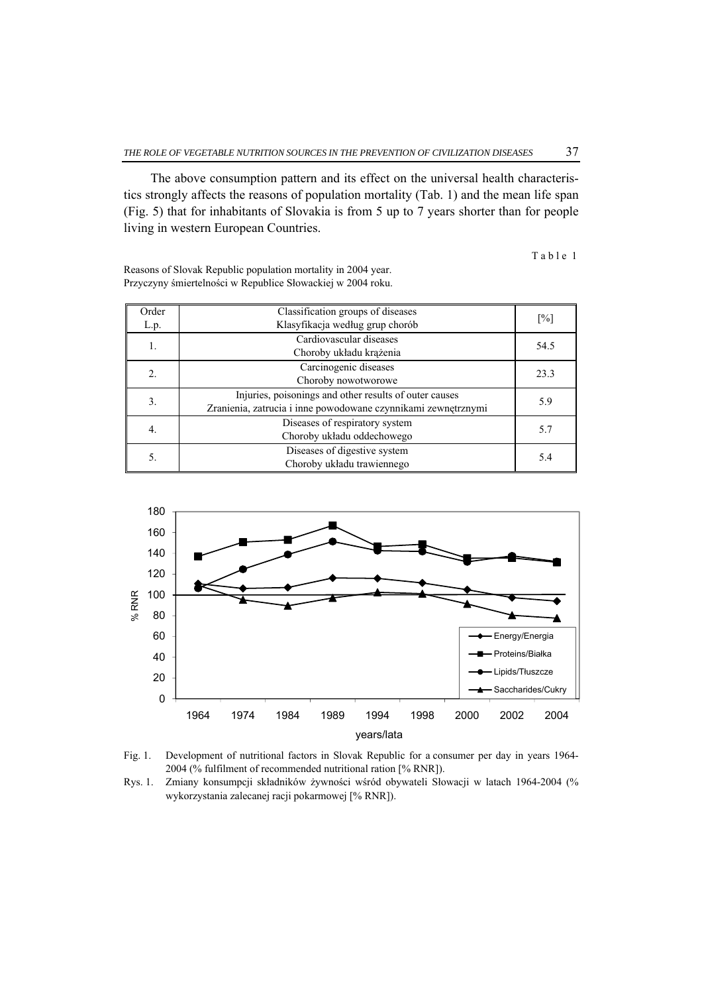The above consumption pattern and its effect on the universal health characteristics strongly affects the reasons of population mortality (Tab. 1) and the mean life span (Fig. 5) that for inhabitants of Slovakia is from 5 up to 7 years shorter than for people living in western European Countries.

Table 1

| Order | Classification groups of diseases                             |                   |
|-------|---------------------------------------------------------------|-------------------|
| L.p.  | Klasyfikacja według grup chorób                               | $\lceil\% \rceil$ |
| 1.    | Cardiovascular diseases                                       | 54.5              |
|       | Choroby układu krążenia                                       |                   |
| 2.    | Carcinogenic diseases                                         | 23.3              |
|       | Choroby nowotworowe                                           |                   |
| 3.    | Injuries, poisonings and other results of outer causes        | 5.9               |
|       | Zranienia, zatrucia i inne powodowane czynnikami zewnętrznymi |                   |
| 4.    | Diseases of respiratory system                                | 5.7               |
|       | Choroby układu oddechowego                                    |                   |
| 5.    | Diseases of digestive system                                  | 5.4               |
|       | Choroby układu trawiennego                                    |                   |

Reasons of Slovak Republic population mortality in 2004 year. Przyczyny śmiertelności w Republice Słowackiej w 2004 roku.





Rys. 1. Zmiany konsumpcji składników żywności wśród obywateli Słowacji w latach 1964-2004 (% wykorzystania zalecanej racji pokarmowej [% RNR]).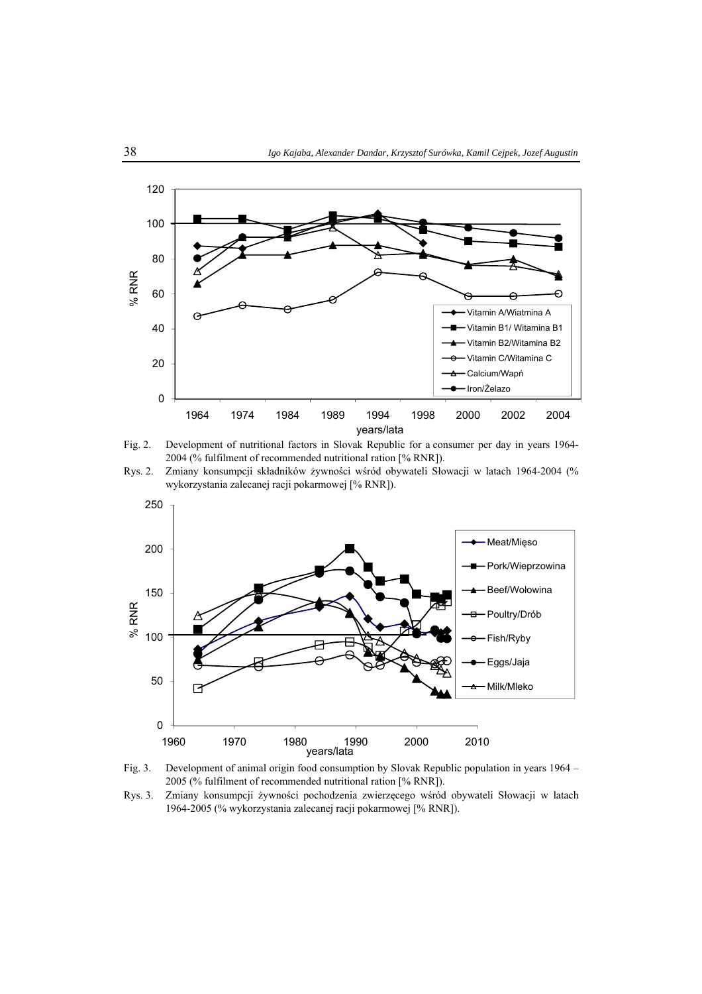



Rys. 2. Zmiany konsumpcji składników żywności wśród obywateli Słowacji w latach 1964-2004 (% wykorzystania zalecanej racji pokarmowej [% RNR]).





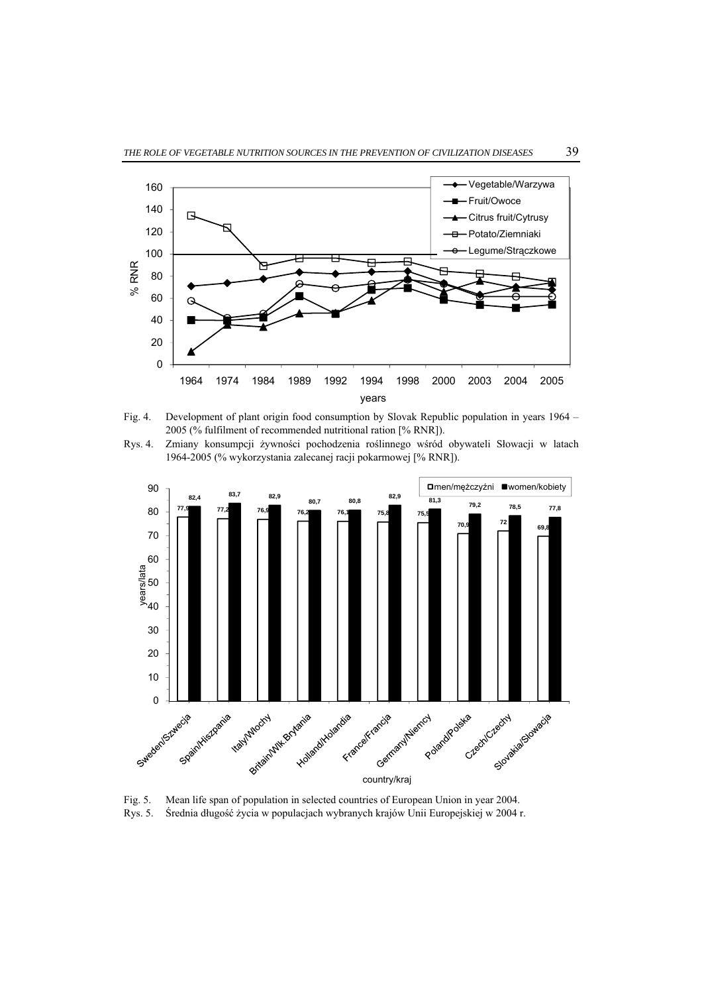

Fig. 4. Development of plant origin food consumption by Slovak Republic population in years 1964 – 2005 (% fulfilment of recommended nutritional ration [% RNR]).

Rys. 4. Zmiany konsumpcji żywności pochodzenia roślinnego wśród obywateli Słowacji w latach 1964-2005 (% wykorzystania zalecanej racji pokarmowej [% RNR]).



Fig. 5. Mean life span of population in selected countries of European Union in year 2004. Rys. 5. Średnia długość życia w populacjach wybranych krajów Unii Europejskiej w 2004 r.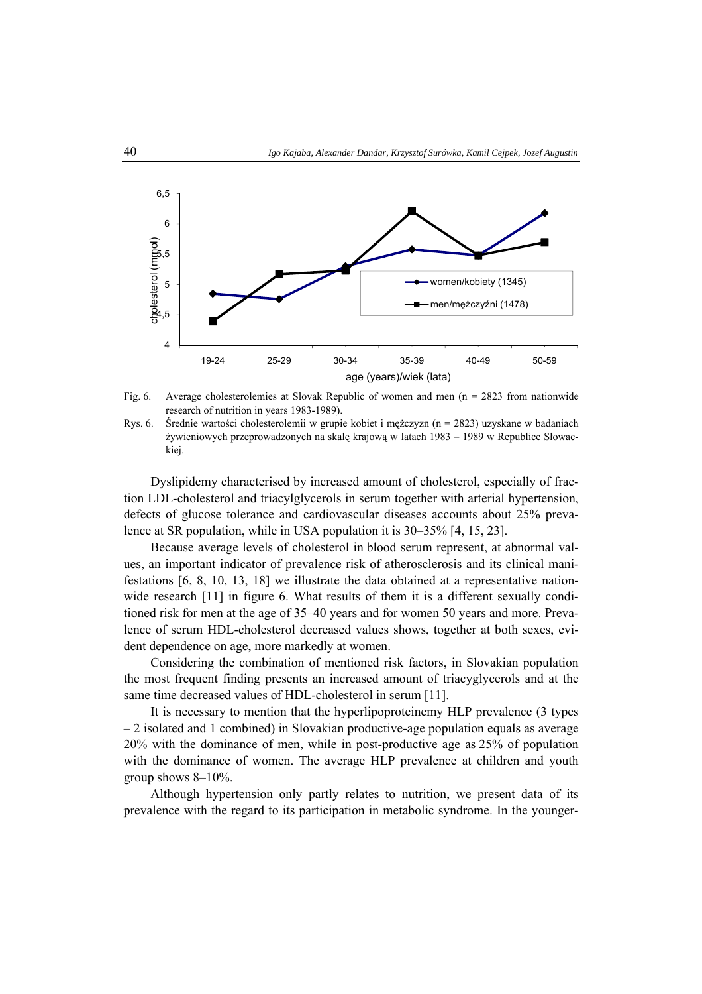

Fig. 6. Average cholesterolemies at Slovak Republic of women and men (n = 2823 from nationwide research of nutrition in years 1983-1989).

Rys. 6. Średnie wartości cholesterolemii w grupie kobiet i mężczyzn (n = 2823) uzyskane w badaniach żywieniowych przeprowadzonych na skalę krajową w latach 1983 – 1989 w Republice Słowackiej.

Dyslipidemy characterised by increased amount of cholesterol, especially of fraction LDL-cholesterol and triacylglycerols in serum together with arterial hypertension, defects of glucose tolerance and cardiovascular diseases accounts about 25% prevalence at SR population, while in USA population it is 30–35% [4, 15, 23].

Because average levels of cholesterol in blood serum represent, at abnormal values, an important indicator of prevalence risk of atherosclerosis and its clinical manifestations [6, 8, 10, 13, 18] we illustrate the data obtained at a representative nationwide research [11] in figure 6. What results of them it is a different sexually conditioned risk for men at the age of 35–40 years and for women 50 years and more. Prevalence of serum HDL-cholesterol decreased values shows, together at both sexes, evident dependence on age, more markedly at women.

Considering the combination of mentioned risk factors, in Slovakian population the most frequent finding presents an increased amount of triacyglycerols and at the same time decreased values of HDL-cholesterol in serum [11].

It is necessary to mention that the hyperlipoproteinemy HLP prevalence (3 types – 2 isolated and 1 combined) in Slovakian productive-age population equals as average 20% with the dominance of men, while in post-productive age as 25% of population with the dominance of women. The average HLP prevalence at children and youth group shows  $8-10\%$ .

Although hypertension only partly relates to nutrition, we present data of its prevalence with the regard to its participation in metabolic syndrome. In the younger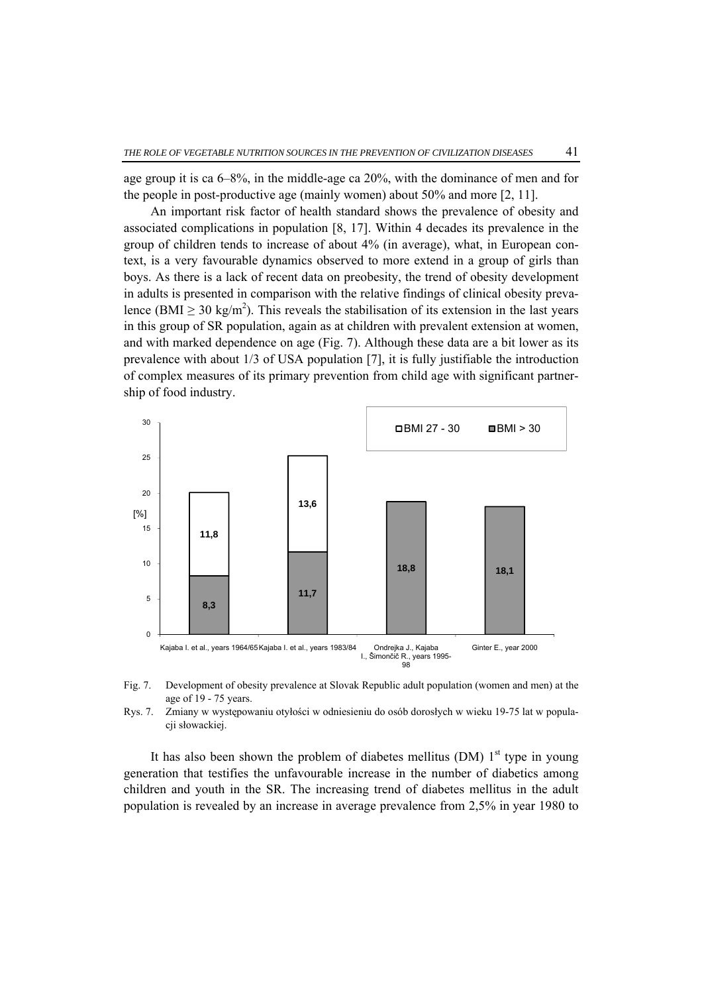age group it is ca 6–8%, in the middle-age ca 20%, with the dominance of men and for the people in post-productive age (mainly women) about 50% and more [2, 11].

An important risk factor of health standard shows the prevalence of obesity and associated complications in population [8, 17]. Within 4 decades its prevalence in the group of children tends to increase of about 4% (in average), what, in European context, is a very favourable dynamics observed to more extend in a group of girls than boys. As there is a lack of recent data on preobesity, the trend of obesity development in adults is presented in comparison with the relative findings of clinical obesity prevalence (BMI  $\geq$  30 kg/m<sup>2</sup>). This reveals the stabilisation of its extension in the last years in this group of SR population, again as at children with prevalent extension at women, and with marked dependence on age (Fig. 7). Although these data are a bit lower as its prevalence with about 1/3 of USA population [7], it is fully justifiable the introduction of complex measures of its primary prevention from child age with significant partnership of food industry.



Fig. 7. Development of obesity prevalence at Slovak Republic adult population (women and men) at the age of 19 - 75 years.

Rys. 7. Zmiany w występowaniu otyłości w odniesieniu do osób dorosłych w wieku 19-75 lat w populacii słowackiej.

It has also been shown the problem of diabetes mellitus (DM)  $1<sup>st</sup>$  type in young generation that testifies the unfavourable increase in the number of diabetics among children and youth in the SR. The increasing trend of diabetes mellitus in the adult population is revealed by an increase in average prevalence from 2,5% in year 1980 to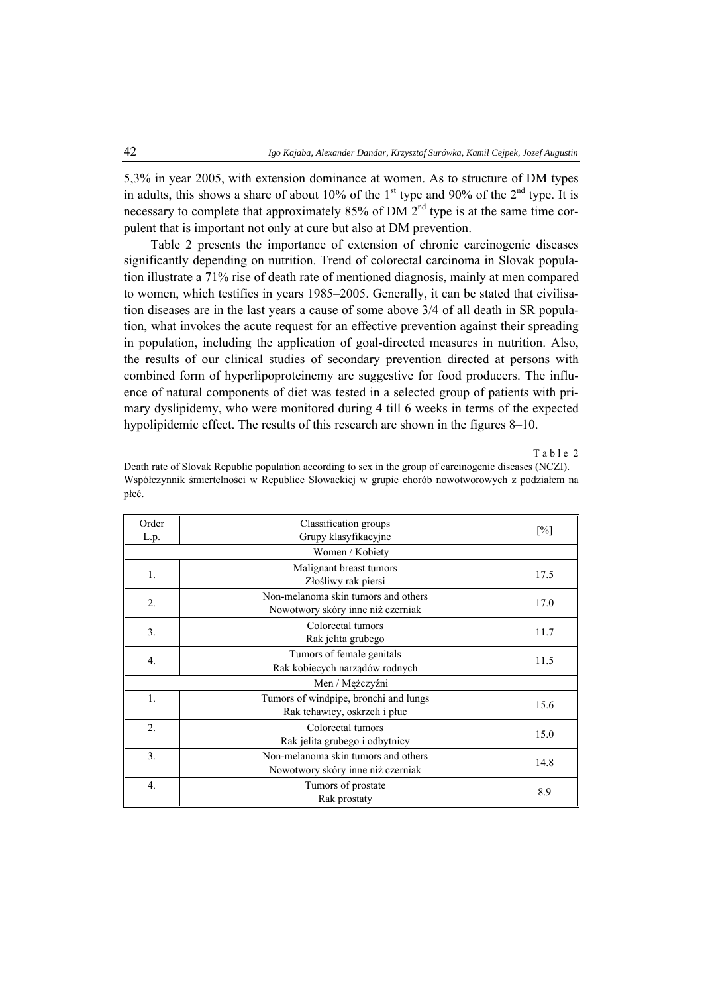5,3% in year 2005, with extension dominance at women. As to structure of DM types in adults, this shows a share of about 10% of the 1<sup>st</sup> type and 90% of the  $2<sup>nd</sup>$  type. It is necessary to complete that approximately 85% of DM  $2<sup>nd</sup>$  type is at the same time corpulent that is important not only at cure but also at DM prevention.

Table 2 presents the importance of extension of chronic carcinogenic diseases significantly depending on nutrition. Trend of colorectal carcinoma in Slovak population illustrate a 71% rise of death rate of mentioned diagnosis, mainly at men compared to women, which testifies in years 1985–2005. Generally, it can be stated that civilisation diseases are in the last years a cause of some above 3/4 of all death in SR population, what invokes the acute request for an effective prevention against their spreading in population, including the application of goal-directed measures in nutrition. Also, the results of our clinical studies of secondary prevention directed at persons with combined form of hyperlipoproteinemy are suggestive for food producers. The influence of natural components of diet was tested in a selected group of patients with primary dyslipidemy, who were monitored during 4 till 6 weeks in terms of the expected hypolipidemic effect. The results of this research are shown in the figures 8–10.

Table 2

| Order<br>L.p.    | Classification groups<br>Grupy klasyfikacyjne                            | $\lceil\% \rceil$ |  |
|------------------|--------------------------------------------------------------------------|-------------------|--|
| Women / Kobiety  |                                                                          |                   |  |
| $\mathbf{1}$ .   | Malignant breast tumors<br>Złośliwy rak piersi                           | 17.5              |  |
| $\overline{2}$ . | Non-melanoma skin tumors and others<br>Nowotwory skóry inne niż czerniak | 17.0              |  |
| 3.               | Colorectal tumors<br>Rak jelita grubego                                  | 11.7              |  |
| $\overline{4}$ . | Tumors of female genitals<br>Rak kobiecych narządów rodnych              | 11.5              |  |
| Men / Mężczyźni  |                                                                          |                   |  |
| $\mathbf{1}$ .   | Tumors of windpipe, bronchi and lungs<br>Rak tchawicy, oskrzeli i płuc   | 15.6              |  |
| $\overline{2}$ . | Colorectal tumors<br>Rak jelita grubego i odbytnicy                      | 15.0              |  |
| 3.               | Non-melanoma skin tumors and others<br>Nowotwory skóry inne niż czerniak | 14.8              |  |
| $\overline{4}$ . | Tumors of prostate<br>Rak prostaty                                       | 8.9               |  |

Death rate of Slovak Republic population according to sex in the group of carcinogenic diseases (NCZI). Współczynnik śmiertelności w Republice Słowackiej w grupie chorób nowotworowych z podziałem na płeć.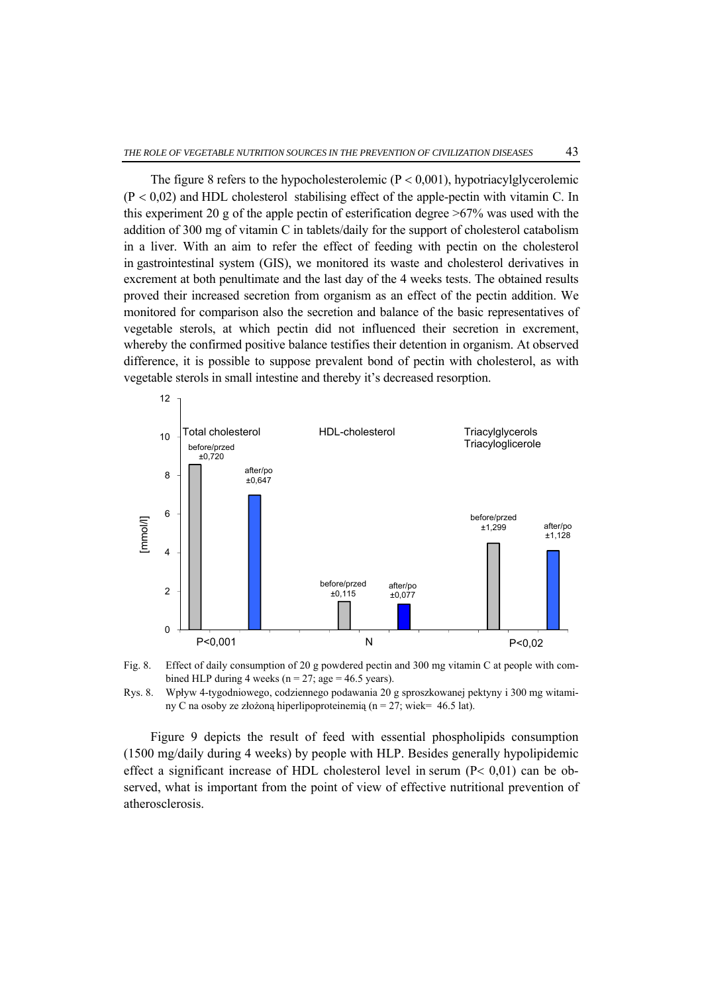The figure 8 refers to the hypocholesterolemic  $(P < 0.001)$ , hypotriacylglycerolemic  $(P < 0.02)$  and HDL cholesterol stabilising effect of the apple-pectin with vitamin C. In this experiment 20 g of the apple pectin of esterification degree  $>67\%$  was used with the addition of 300 mg of vitamin C in tablets/daily for the support of cholesterol catabolism in a liver. With an aim to refer the effect of feeding with pectin on the cholesterol in gastrointestinal system (GIS), we monitored its waste and cholesterol derivatives in excrement at both penultimate and the last day of the 4 weeks tests. The obtained results proved their increased secretion from organism as an effect of the pectin addition. We monitored for comparison also the secretion and balance of the basic representatives of vegetable sterols, at which pectin did not influenced their secretion in excrement, whereby the confirmed positive balance testifies their detention in organism. At observed difference, it is possible to suppose prevalent bond of pectin with cholesterol, as with vegetable sterols in small intestine and thereby it's decreased resorption.







Figure 9 depicts the result of feed with essential phospholipids consumption (1500 mg/daily during 4 weeks) by people with HLP. Besides generally hypolipidemic effect a significant increase of HDL cholesterol level in serum  $(P< 0.01)$  can be observed, what is important from the point of view of effective nutritional prevention of atherosclerosis.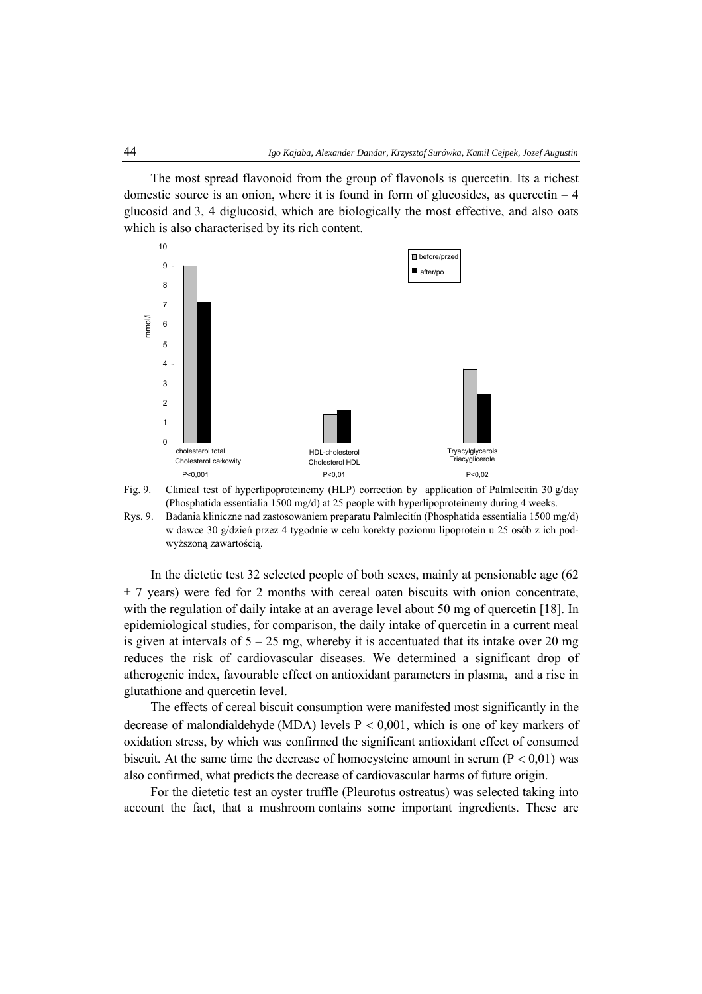The most spread flavonoid from the group of flavonols is quercetin. Its a richest domestic source is an onion, where it is found in form of glucosides, as quercetin  $-4$ glucosid and 3, 4 diglucosid, which are biologically the most effective, and also oats which is also characterised by its rich content.





Rys. 9. Badania kliniczne nad zastosowaniem preparatu Palmlecitín (Phosphatida essentialia 1500 mg/d) w dawce 30 g/dzień przez 4 tygodnie w celu korekty poziomu lipoprotein u 25 osób z ich podwyższoną zawartością.

In the dietetic test 32 selected people of both sexes, mainly at pensionable age (62  $\pm$  7 years) were fed for 2 months with cereal oaten biscuits with onion concentrate, with the regulation of daily intake at an average level about 50 mg of quercetin [18]. In epidemiological studies, for comparison, the daily intake of quercetin in a current meal is given at intervals of  $5 - 25$  mg, whereby it is accentuated that its intake over 20 mg reduces the risk of cardiovascular diseases. We determined a significant drop of atherogenic index, favourable effect on antioxidant parameters in plasma, and a rise in glutathione and quercetin level.

The effects of cereal biscuit consumption were manifested most significantly in the decrease of malondialdehyde (MDA) levels  $P < 0.001$ , which is one of key markers of oxidation stress, by which was confirmed the significant antioxidant effect of consumed biscuit. At the same time the decrease of homocysteine amount in serum ( $P < 0.01$ ) was also confirmed, what predicts the decrease of cardiovascular harms of future origin.

For the dietetic test an oyster truffle (Pleurotus ostreatus) was selected taking into account the fact, that a mushroom contains some important ingredients. These are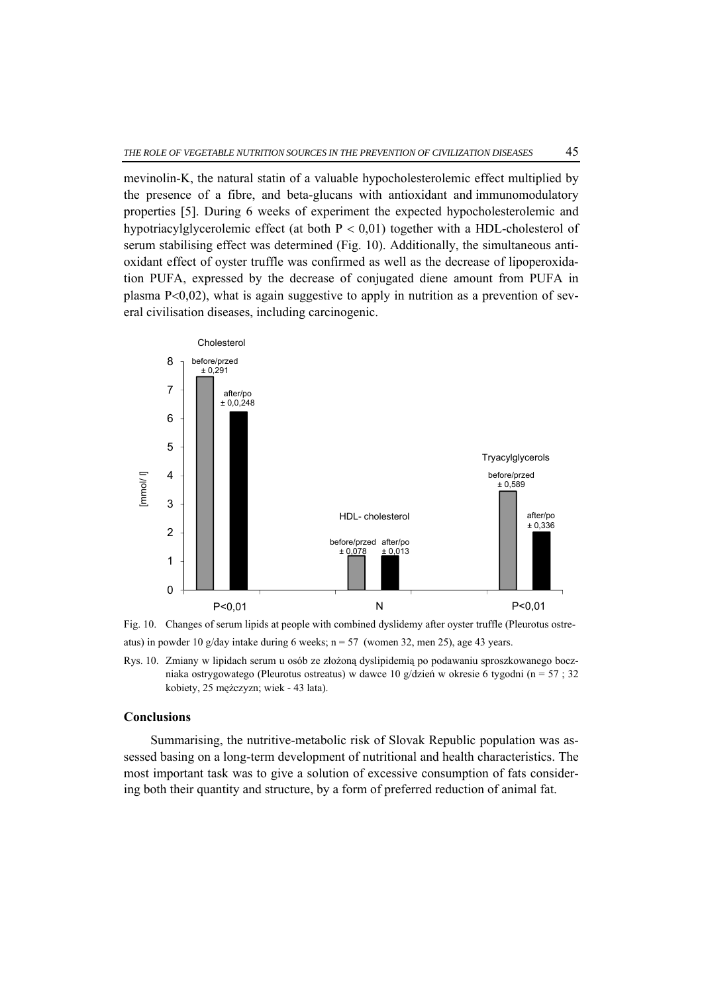mevinolin-K, the natural statin of a valuable hypocholesterolemic effect multiplied by the presence of a fibre, and beta-glucans with antioxidant and immunomodulatory properties [5]. During 6 weeks of experiment the expected hypocholesterolemic and hypotriacylglycerolemic effect (at both  $P < 0.01$ ) together with a HDL-cholesterol of serum stabilising effect was determined (Fig. 10). Additionally, the simultaneous antioxidant effect of oyster truffle was confirmed as well as the decrease of lipoperoxidation PUFA, expressed by the decrease of conjugated diene amount from PUFA in plasma  $P<0.02$ ), what is again suggestive to apply in nutrition as a prevention of several civilisation diseases, including carcinogenic.



Fig. 10. Changes of serum lipids at people with combined dyslidemy after oyster truffle (Pleurotus ostreatus) in powder 10 g/day intake during 6 weeks;  $n = 57$  (women 32, men 25), age 43 years.

Rys. 10. Zmiany w lipidach serum u osób ze złożoną dyslipidemią po podawaniu sproszkowanego boczniaka ostrygowatego (Pleurotus ostreatus) w dawce 10 g/dzień w okresie 6 tygodni (n = 57 ; 32 kobiety, 25 mężczyzn; wiek - 43 lata).

## **Conclusions**

Summarising, the nutritive-metabolic risk of Slovak Republic population was assessed basing on a long-term development of nutritional and health characteristics. The most important task was to give a solution of excessive consumption of fats considering both their quantity and structure, by a form of preferred reduction of animal fat.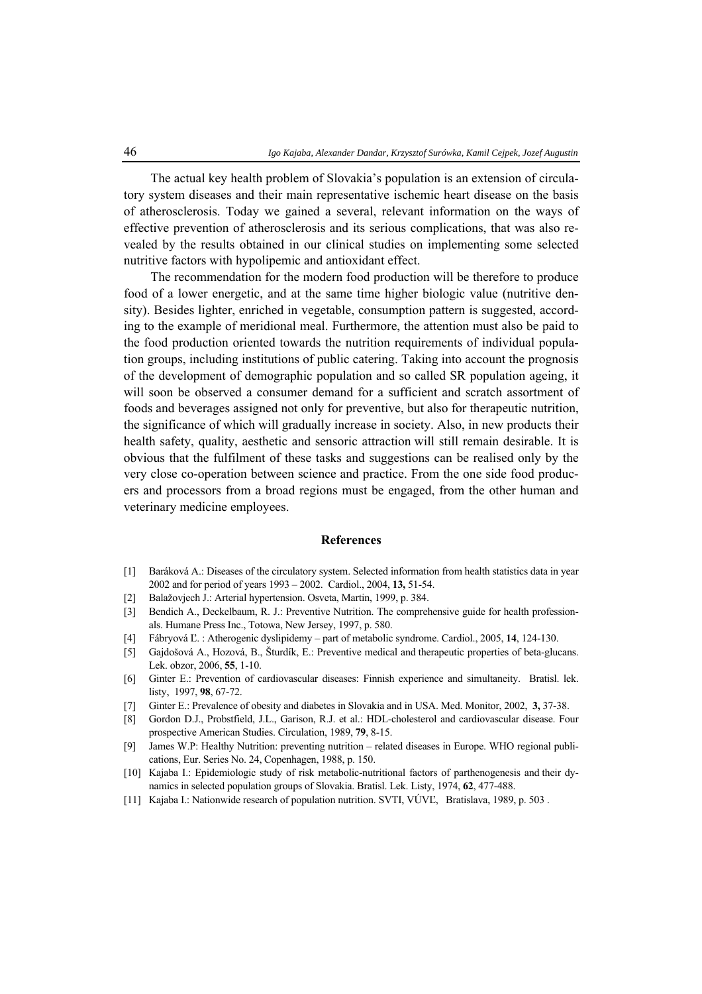The actual key health problem of Slovakia's population is an extension of circulatory system diseases and their main representative ischemic heart disease on the basis of atherosclerosis. Today we gained a several, relevant information on the ways of effective prevention of atherosclerosis and its serious complications, that was also revealed by the results obtained in our clinical studies on implementing some selected nutritive factors with hypolipemic and antioxidant effect.

The recommendation for the modern food production will be therefore to produce food of a lower energetic, and at the same time higher biologic value (nutritive density). Besides lighter, enriched in vegetable, consumption pattern is suggested, according to the example of meridional meal. Furthermore, the attention must also be paid to the food production oriented towards the nutrition requirements of individual population groups, including institutions of public catering. Taking into account the prognosis of the development of demographic population and so called SR population ageing, it will soon be observed a consumer demand for a sufficient and scratch assortment of foods and beverages assigned not only for preventive, but also for therapeutic nutrition, the significance of which will gradually increase in society. Also, in new products their health safety, quality, aesthetic and sensoric attraction will still remain desirable. It is obvious that the fulfilment of these tasks and suggestions can be realised only by the very close co-operation between science and practice. From the one side food producers and processors from a broad regions must be engaged, from the other human and veterinary medicine employees.

### **References**

- [1] Baráková A.: Diseases of the circulatory system. Selected information from health statistics data in year 2002 and for period of years 1993 – 2002. Cardiol., 2004, **13,** 51-54.
- [2] Balažovjech J.: Arterial hypertension. Osveta, Martin, 1999, p. 384.
- [3] Bendich A., Deckelbaum, R. J.: Preventive Nutrition. The comprehensive guide for health professionals. Humane Press Inc., Totowa, New Jersey, 1997, p. 580.
- [4] Fábryová Ľ. : Atherogenic dyslipidemy part of metabolic syndrome. Cardiol., 2005, **14**, 124-130.
- [5] Gajdošová A., Hozová, B., Šturdík, E.: Preventive medical and therapeutic properties of beta-glucans. Lek. obzor, 2006, **55**, 1-10.
- [6] Ginter E.: Prevention of cardiovascular diseases: Finnish experience and simultaneity. Bratisl. lek. listy, 1997, **98**, 67-72.
- [7] Ginter E.: Prevalence of obesity and diabetes in Slovakia and in USA. Med. Monitor, 2002, **3,** 37-38.
- [8] Gordon D.J., Probstfield, J.L., Garison, R.J. et al.: HDL-cholesterol and cardiovascular disease. Four prospective American Studies. Circulation, 1989, **79**, 8-15.
- [9] James W.P: Healthy Nutrition: preventing nutrition related diseases in Europe. WHO regional publications, Eur. Series No. 24, Copenhagen, 1988, p. 150.
- [10] Kajaba I.: Epidemiologic study of risk metabolic-nutritional factors of parthenogenesis and their dynamics in selected population groups of Slovakia. Bratisl. Lek. Listy, 1974, **62**, 477-488.
- [11] Kajaba I.: Nationwide research of population nutrition. SVTI, VÚVĽ, Bratislava, 1989, p. 503 .